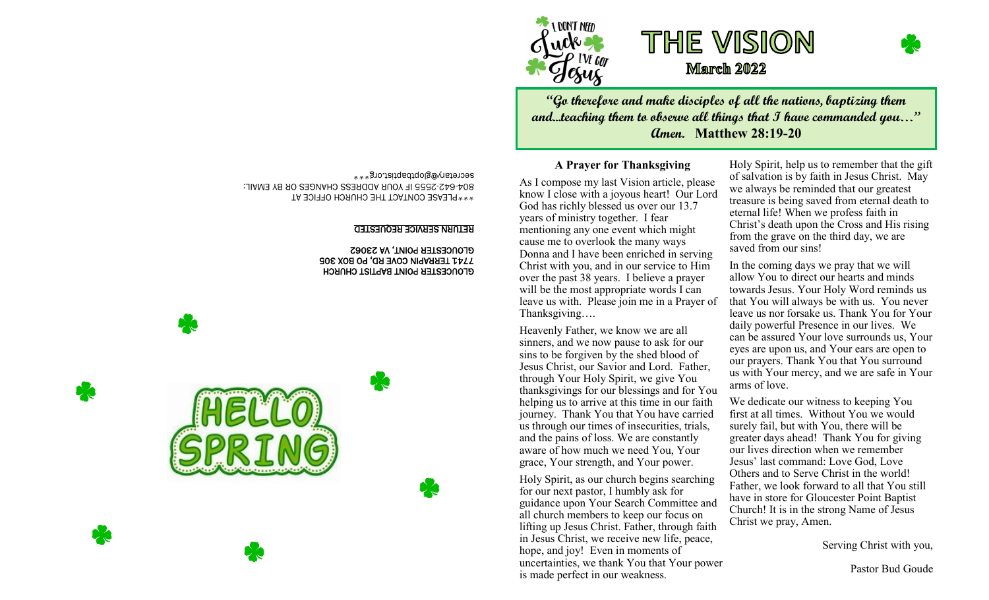





**"Go therefore and make disciples of all the nations, baptizing them and...teaching them to observe all things that I have commanded you…" Amen. Matthew 28:19-20**

### **A Prayer for Thanksgiving**

As I compose my last Vision article, please know I close with a joyous heart! Our Lord God has richly blessed us over our 13.7 years of ministry together. I fear mentioning any one event which might cause me to overlook the many ways Donna and I have been enriched in serving Christ with you, and in our service to Him over the past 38 years. I believe a prayer will be the most appropriate words I can leave us with. Please join me in a Prayer of Thanksgiving….

Heavenly Father, we know we are all sinners, and we now pause to ask for our sins to be forgiven by the shed blood of Jesus Christ, our Savior and Lord. Father, through Your Holy Spirit, we give You thanksgivings for our blessings and for You helping us to arrive at this time in our faith journey. Thank You that You have carried us through our times of insecurities, trials, and the pains of loss. We are constantly aware of how much we need You, Your grace, Your strength, and Your power.

Holy Spirit, as our church begins searching for our next pastor, I humbly ask for guidance upon Your Search Committee and all church members to keep our focus on lifting up Jesus Christ. Father, through faith in Jesus Christ, we receive new life, peace, hope, and joy! Even in moments of uncertainties, we thank You that Your power is made perfect in our weakness.

Holy Spirit, help us to remember that the gift of salvation is by faith in Jesus Christ. May we always be reminded that our greatest treasure is being saved from eternal death to eternal life! When we profess faith in Christ's death upon the Cross and His rising from the grave on the third day, we are saved from our sins!

In the coming days we pray that we will allow You to direct our hearts and minds towards Jesus. Your Holy Word reminds us that You will always be with us. You never leave us nor forsake us. Thank You for Your daily powerful Presence in our lives. We can be assured Your love surrounds us, Your eyes are upon us, and Your ears are open to our prayers. Thank You that You surround us with Your mercy, and we are safe in Your arms of love.

We dedicate our witness to keeping You first at all times. Without You we would surely fail, but with You, there will be greater days ahead! Thank You for giving our lives direction when we remember Jesus' last command: Love God, Love Others and to Serve Christ in the world! Father, we look forward to all that You still have in store for Gloucester Point Baptist Church! It is in the strong Name of Jesus Christ we pray, Amen.

Serving Christ with you,

Pastor Bud Goude

\*\*\*PLEASE CONTACT THE CHURCH OFFICE AT 2555 IF YOUR ADDRESS CHANGES OR BY EMAIL: - 642 - 804 secretary@gloptbaptist.org\*\*\*

#### RETURN SERVICE REQUESTED

 GLOUCESTER POINT BAPTIST CHURCH 7741 TERRAPIN COVE RD, PO BOX 305 GLOUCESTER POINT, VA 23062

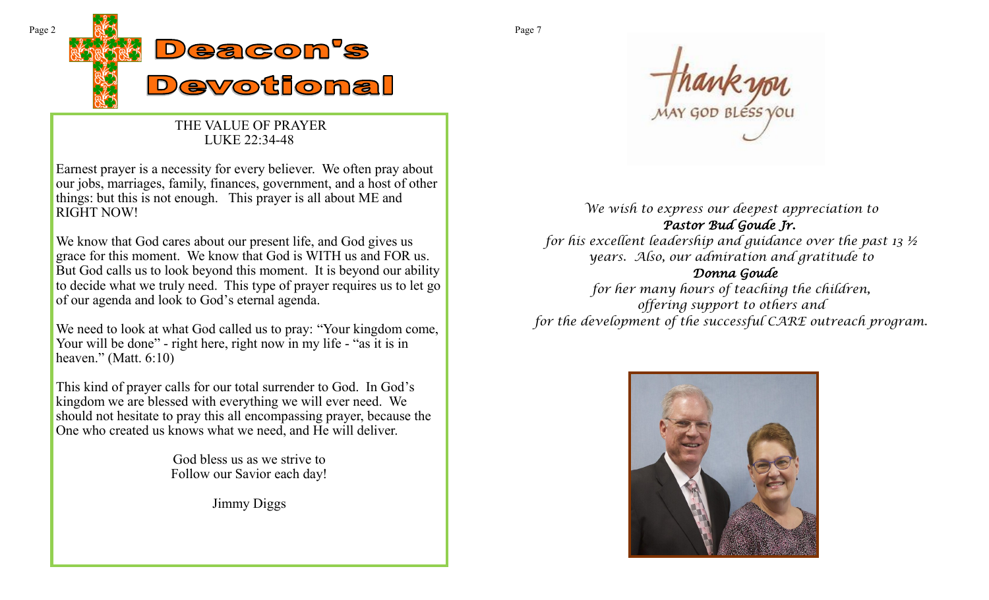

## THE VALUE OF PRAYER LUKE 22:34-48

Earnest prayer is a necessity for every believer. We often pray about our jobs, marriages, family, finances, government, and a host of other things: but this is not enough. This prayer is all about ME and RIGHT NOW!

We know that God cares about our present life, and God gives us grace for this moment. We know that God is WITH us and FOR us. But God calls us to look beyond this moment. It is beyond our ability to decide what we truly need. This type of prayer requires us to let go of our agenda and look to God's eternal agenda.

We need to look at what God called us to pray: "Your kingdom come, Your will be done" - right here, right now in my life - "as it is in heaven." (Matt. 6:10)

This kind of prayer calls for our total surrender to God. In God's kingdom we are blessed with everything we will ever need. We should not hesitate to pray this all encompassing prayer, because the One who created us knows what we need, and He will deliver.

> God bless us as we strive to Follow our Savior each day!

> > Jimmy Diggs

*We wish to express our deepest appreciation to Pastor Bud Goude Jr. for his excellent leadership and guidance over the past 13 ½ years. Also, our admiration and gratitude to Donna Goude for her many hours of teaching the children, offering support to others and for the development of the successful CARE outreach program.*

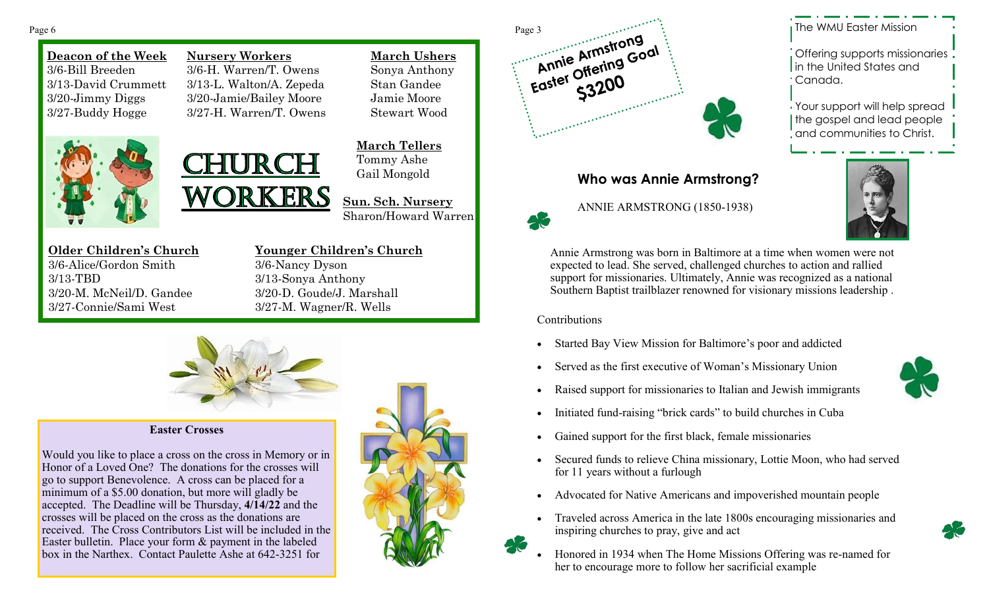**Deacon of the Week** 3/6-Bill Breeden 3/13-David Crummett 3/20-Jimmy Diggs 3/27-Buddy Hogge



**Nursery Workers** 3/6-H. Warren/T. Owens 3/13-L. Walton/A. Zepeda 3/20-Jamie/Bailey Moore 3/27-H. Warren/T. Owens

WORKERS

**March Ushers** Sonya Anthony Stan Gandee Jamie Moore Stewart Wood

**March Tellers** Tommy Ashe Gail Mongold

**Sun. Sch. Nursery** Sharon/Howard Warren

**Older Children's Church** 3/6-Alice/Gordon Smith 3/13-TBD 3/20-M. McNeil/D. Gandee 3/27-Connie/Sami West

**Younger Children's Church** 3/6-Nancy Dyson 3/13-Sonya Anthony 3/20-D. Goude/J. Marshall 3/27-M. Wagner/R. Wells



### **Easter Crosses**

Would you like to place a cross on the cross in Memory or in Honor of a Loved One? The donations for the crosses will go to support Benevolence. A cross can be placed for a minimum of a \$5.00 donation, but more will gladly be accepted. The Deadline will be Thursday, **4/14/22** and the crosses will be placed on the cross as the donations are received. The Cross Contributors List will be included in the Easter bulletin. Place your form & payment in the labeled box in the Narthex. Contact Paulette Ashe at 642-3251 for





# **Who was Annie Armstrong?**



The WMU Easter Mission

Offering supports missionaries In the United States and Canada.

Your support will help spread the gospel and lead people and communities to Christ.



Annie Armstrong was born in Baltimore at a time when women were not expected to lead. She served, challenged churches to action and rallied support for missionaries. Ultimately, Annie was recognized as a national Southern Baptist trailblazer renowned for visionary missions leadership .

### Contributions

- Started Bay View Mission for Baltimore's poor and addicted
- Served as the first executive of Woman's Missionary Union
- Raised support for missionaries to Italian and Jewish immigrants



- Initiated fund-raising "brick cards" to build churches in Cuba
- Gained support for the first black, female missionaries
- Secured funds to relieve China missionary, Lottie Moon, who had served for 11 years without a furlough
- Advocated for Native Americans and impoverished mountain people
- Traveled across America in the late 1800s encouraging missionaries and inspiring churches to pray, give and act
- Honored in 1934 when The Home Missions Offering was re-named for her to encourage more to follow her sacrificial example